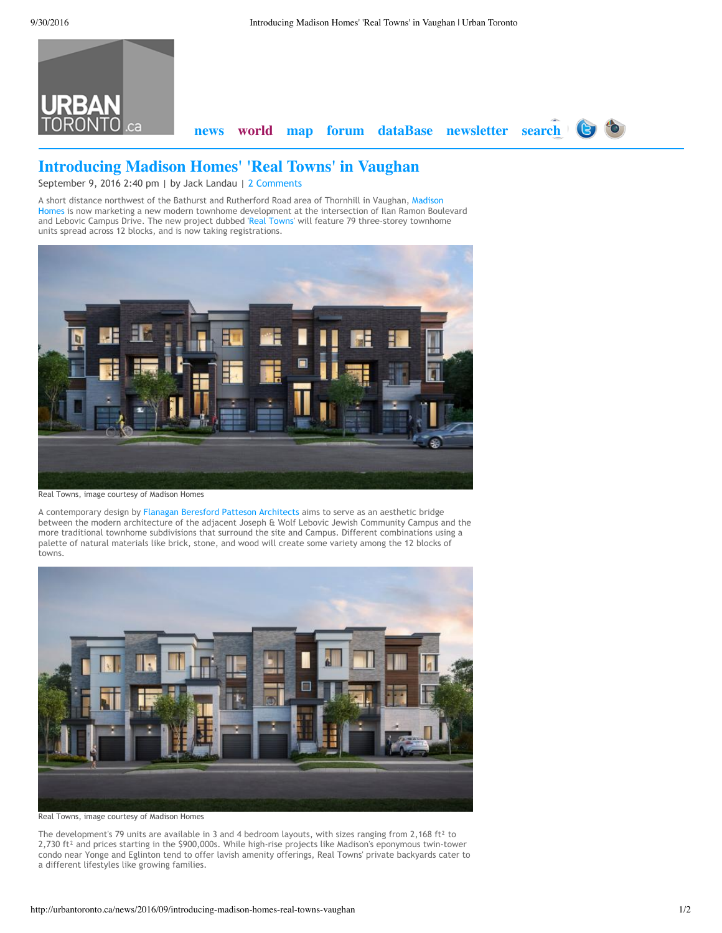

## **Introducing Madison Homes' 'Real Towns' in Vaughan**

September 9, 2016 2:40 pm | by Jack Landau | 2 [Comments](http://urbantoronto.ca/news/2016/09/introducing-madison-homes-real-towns-vaughan#disqus_thread)

A short distance northwest of the Bathurst and Rutherford Road area of Thornhill in Vaughan, Madison Homes is now marketing a new modern townhome [development](http://urbantoronto.ca/database/profiles/madison-homes) at the intersection of Ilan Ramon Boulevard and Lebovic Campus Drive. The new project dubbed 'Real [Towns](http://urbantoronto.ca/database/projects/real-towns)' will feature 79 three-storey townhome units spread across 12 blocks, and is now taking registrations.



Real Towns, image [courtesy](http://urbantoronto.ca/sites/default/files/imagecache/display-slideshow/images/articles/2016/09/22583/22583-78429.jpeg) of Madison Homes

A contemporary design by Flanagan Beresford Patteson [Architects](http://urbantoronto.ca/database/profiles/flanagan-beresford-patteson-architects) aims to serve as an aesthetic bridge between the modern architecture of the adjacent Joseph & Wolf Lebovic Jewish Community Campus and the more traditional townhome subdivisions that surround the site and Campus. Different combinations using a palette of natural materials like brick, stone, and wood will create some variety among the 12 blocks of towns.



Real Towns, image courtesy of Madison Homes

The development's 79 units are available in 3 and 4 bedroom layouts, with sizes ranging from 2,168 ft<sup>2</sup> to 2,730 ft² and prices starting in the \$900,000s. While high‐rise projects like Madison's eponymous twin‐tower condo near Yonge and Eglinton tend to offer lavish amenity offerings, Real Towns' private backyards cater to a different lifestyles like growing families.